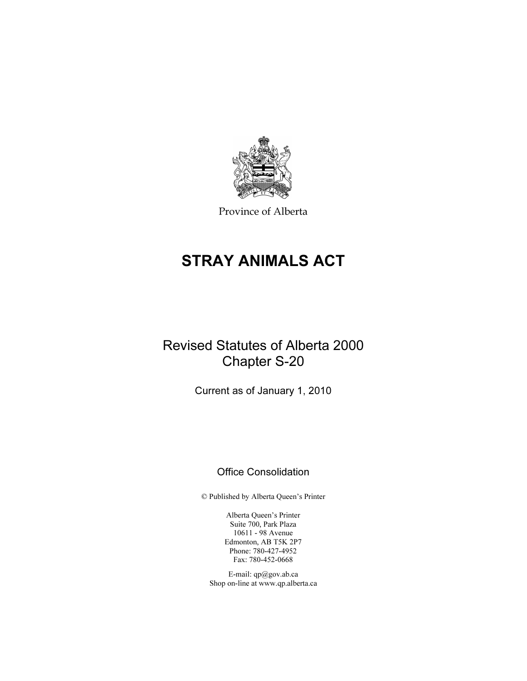

Province of Alberta

# STRAY ANIMALS ACT

# Revised Statutes of Alberta 2000 Chapter S-20

Current as of January 1, 2010

## Office Consolidation

© Published by Alberta Queen's Printer

Alberta Queen's Printer Suite 700, Park Plaza 10611 - 98 Avenue Edmonton, AB T5K 2P7 Phone: 780-427-4952 Fax: 780-452-0668

E-mail: qp@gov.ab.ca Shop on-line at www.qp.alberta.ca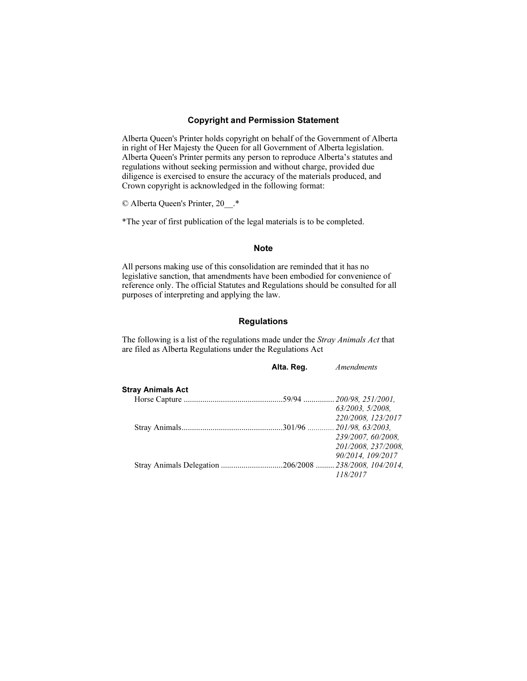#### Copyright and Permission Statement

Alberta Queen's Printer holds copyright on behalf of the Government of Alberta in right of Her Majesty the Queen for all Government of Alberta legislation. Alberta Queen's Printer permits any person to reproduce Alberta's statutes and regulations without seeking permission and without charge, provided due diligence is exercised to ensure the accuracy of the materials produced, and Crown copyright is acknowledged in the following format:

© Alberta Queen's Printer, 20\_\_.\*

\*The year of first publication of the legal materials is to be completed.

#### Note

All persons making use of this consolidation are reminded that it has no legislative sanction, that amendments have been embodied for convenience of reference only. The official Statutes and Regulations should be consulted for all purposes of interpreting and applying the law.

## **Regulations**

The following is a list of the regulations made under the Stray Animals Act that are filed as Alberta Regulations under the Regulations Act

|                   | Alta. Reg. | Amendments          |
|-------------------|------------|---------------------|
| Stray Animals Act |            |                     |
|                   |            |                     |
|                   |            | 63/2003, 5/2008,    |
|                   |            | 220/2008, 123/2017  |
|                   |            |                     |
|                   |            | 239/2007, 60/2008,  |
|                   |            | 201/2008, 237/2008, |
|                   |            | 90/2014, 109/2017   |
|                   |            |                     |
|                   |            | 118/2017            |
|                   |            |                     |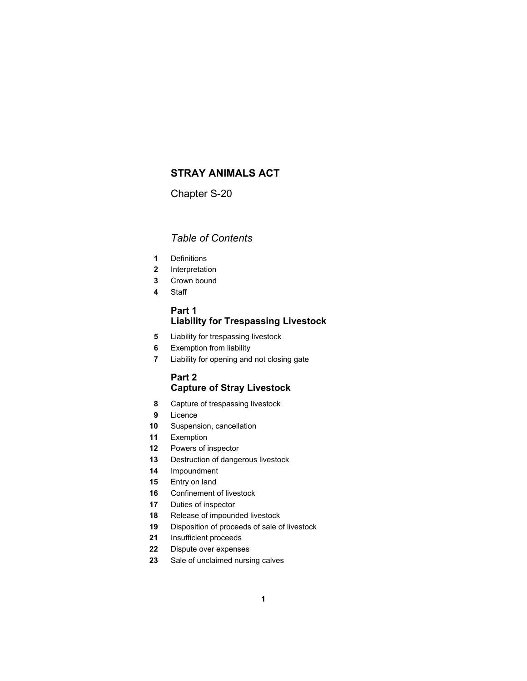## **STRAY ANIMALS ACT**

Chapter S-20

## *Table of Contents*

- Definitions
- Interpretation
- Crown bound
- Staff

## **Part 1 Liability for Trespassing Livestock**

- Liability for trespassing livestock
- Exemption from liability
- Liability for opening and not closing gate

## **Part 2 Capture of Stray Livestock**

- Capture of trespassing livestock
- Licence
- Suspension, cancellation
- Exemption
- Powers of inspector
- Destruction of dangerous livestock
- Impoundment
- Entry on land
- Confinement of livestock
- Duties of inspector
- Release of impounded livestock
- Disposition of proceeds of sale of livestock
- Insufficient proceeds
- Dispute over expenses
- Sale of unclaimed nursing calves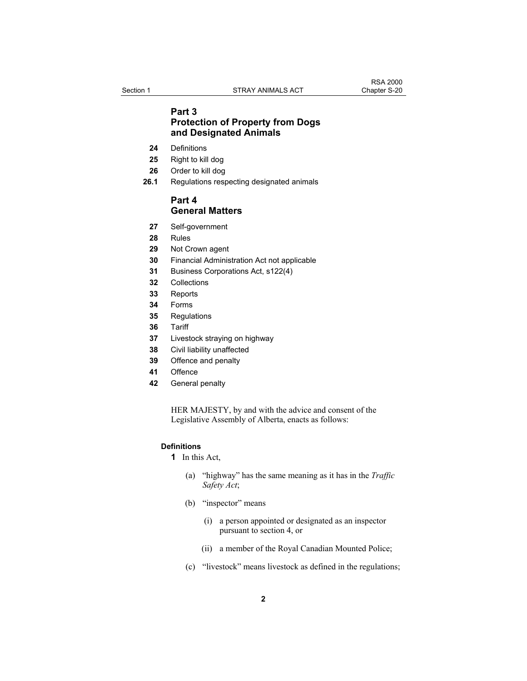### **Part 3 Protection of Property from Dogs and Designated Animals**

- **24** Definitions
- **25** Right to kill dog
- **26** Order to kill dog
- **26.1** Regulations respecting designated animals

### **Part 4 General Matters**

- **27** Self-government
- **28** Rules
- **29** Not Crown agent
- **30** Financial Administration Act not applicable
- **31** Business Corporations Act, s122(4)
- **32** Collections
- **33** Reports
- **34** Forms
- **35** Regulations
- **36** Tariff
- **37** Livestock straying on highway
- **38** Civil liability unaffected
- **39** Offence and penalty
- **41** Offence
- **42** General penalty

HER MAJESTY, by and with the advice and consent of the Legislative Assembly of Alberta, enacts as follows:

#### **Definitions**

**1** In this Act,

- (a) "highway" has the same meaning as it has in the *Traffic Safety Act*;
- (b) "inspector" means
	- (i) a person appointed or designated as an inspector pursuant to section 4, or
	- (ii) a member of the Royal Canadian Mounted Police;
- (c) "livestock" means livestock as defined in the regulations;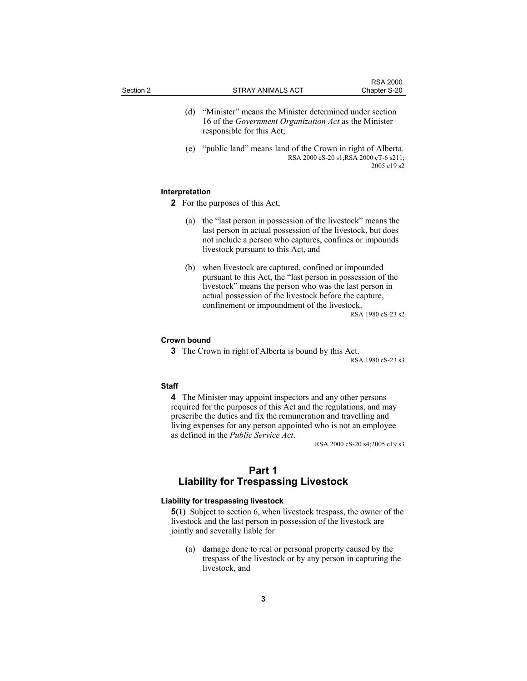| Section 2 |     | STRAY ANIMALS ACT                                                                                                      | <b>RSA 2000</b><br>Chapter S-20 |
|-----------|-----|------------------------------------------------------------------------------------------------------------------------|---------------------------------|
|           | (d) | "Minister" means the Minister determined under section<br>16 of the <i>Government Organization Act</i> as the Minister |                                 |

 (e) "public land" means land of the Crown in right of Alberta. RSA 2000 cS-20 s1;RSA 2000 cT-6 s211; 2005 c19 s2

#### **Interpretation**

**2** For the purposes of this Act,

responsible for this Act;

- (a) the "last person in possession of the livestock" means the last person in actual possession of the livestock, but does not include a person who captures, confines or impounds livestock pursuant to this Act, and
- (b) when livestock are captured, confined or impounded pursuant to this Act, the "last person in possession of the livestock" means the person who was the last person in actual possession of the livestock before the capture, confinement or impoundment of the livestock.

RSA 1980 cS-23 s2

#### **Crown bound**

**3** The Crown in right of Alberta is bound by this Act.

RSA 1980 cS-23 s3

#### **Staff**

**4** The Minister may appoint inspectors and any other persons required for the purposes of this Act and the regulations, and may prescribe the duties and fix the remuneration and travelling and living expenses for any person appointed who is not an employee as defined in the *Public Service Act*. RSA 2000 cS-20 s4;2005 c19 s3

## **Part 1 Liability for Trespassing Livestock**

#### **Liability for trespassing livestock**

**5(1)** Subject to section 6, when livestock trespass, the owner of the livestock and the last person in possession of the livestock are jointly and severally liable for

 (a) damage done to real or personal property caused by the trespass of the livestock or by any person in capturing the livestock, and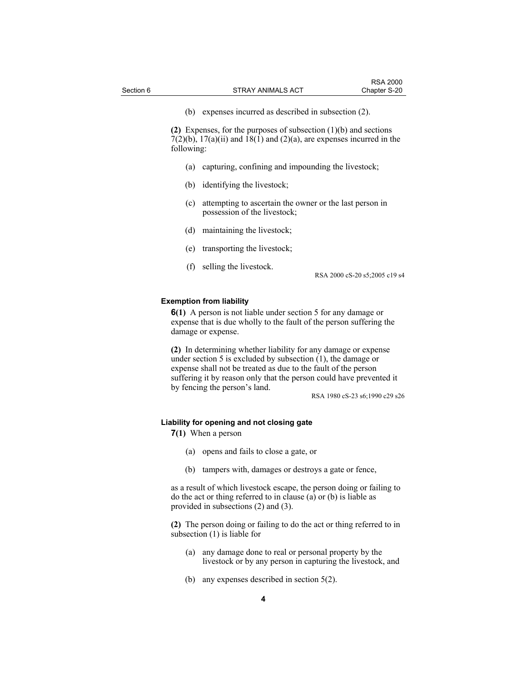**(2)** Expenses, for the purposes of subsection (1)(b) and sections  $7(2)(b)$ ,  $17(a)(ii)$  and  $18(1)$  and  $(2)(a)$ , are expenses incurred in the following:

- (a) capturing, confining and impounding the livestock;
- (b) identifying the livestock;
- (c) attempting to ascertain the owner or the last person in possession of the livestock;
- (d) maintaining the livestock;
- (e) transporting the livestock;
- (f) selling the livestock.

RSA 2000 cS-20 s5;2005 c19 s4

#### **Exemption from liability**

**6(1)** A person is not liable under section 5 for any damage or expense that is due wholly to the fault of the person suffering the damage or expense.

**(2)** In determining whether liability for any damage or expense under section 5 is excluded by subsection (1), the damage or expense shall not be treated as due to the fault of the person suffering it by reason only that the person could have prevented it by fencing the person's land.

RSA 1980 cS-23 s6;1990 c29 s26

#### **Liability for opening and not closing gate**

**7(1)** When a person

- (a) opens and fails to close a gate, or
- (b) tampers with, damages or destroys a gate or fence,

as a result of which livestock escape, the person doing or failing to do the act or thing referred to in clause (a) or (b) is liable as provided in subsections (2) and (3).

**(2)** The person doing or failing to do the act or thing referred to in subsection (1) is liable for

- (a) any damage done to real or personal property by the livestock or by any person in capturing the livestock, and
- (b) any expenses described in section 5(2).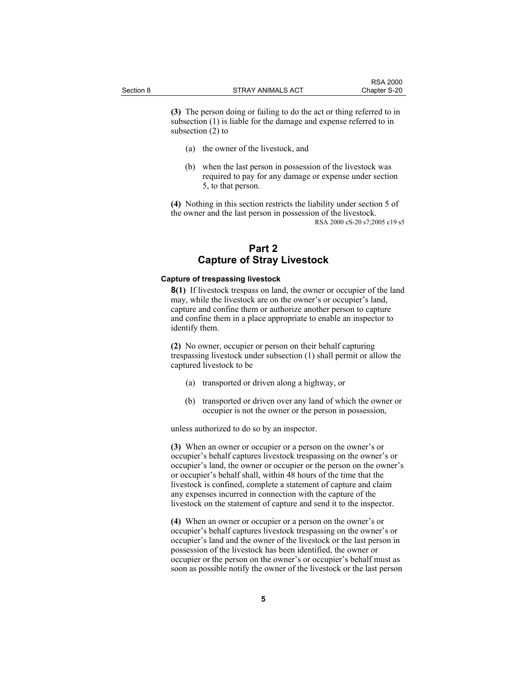**(3)** The person doing or failing to do the act or thing referred to in subsection (1) is liable for the damage and expense referred to in subsection (2) to

- (a) the owner of the livestock, and
- (b) when the last person in possession of the livestock was required to pay for any damage or expense under section 5, to that person.

**(4)** Nothing in this section restricts the liability under section 5 of the owner and the last person in possession of the livestock. RSA 2000 cS-20 s7;2005 c19 s5

## **Part 2 Capture of Stray Livestock**

#### **Capture of trespassing livestock**

**8(1)** If livestock trespass on land, the owner or occupier of the land may, while the livestock are on the owner's or occupier's land, capture and confine them or authorize another person to capture and confine them in a place appropriate to enable an inspector to identify them.

**(2)** No owner, occupier or person on their behalf capturing trespassing livestock under subsection (1) shall permit or allow the captured livestock to be

- (a) transported or driven along a highway, or
- (b) transported or driven over any land of which the owner or occupier is not the owner or the person in possession,

unless authorized to do so by an inspector.

**(3)** When an owner or occupier or a person on the owner's or occupier's behalf captures livestock trespassing on the owner's or occupier's land, the owner or occupier or the person on the owner's or occupier's behalf shall, within 48 hours of the time that the livestock is confined, complete a statement of capture and claim any expenses incurred in connection with the capture of the livestock on the statement of capture and send it to the inspector.

**(4)** When an owner or occupier or a person on the owner's or occupier's behalf captures livestock trespassing on the owner's or occupier's land and the owner of the livestock or the last person in possession of the livestock has been identified, the owner or occupier or the person on the owner's or occupier's behalf must as soon as possible notify the owner of the livestock or the last person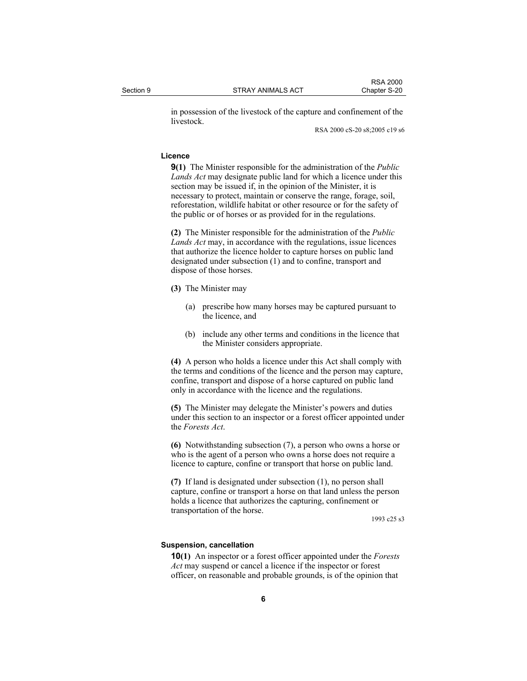in possession of the livestock of the capture and confinement of the livestock.

RSA 2000 cS-20 s8;2005 c19 s6

#### **Licence**

**9(1)** The Minister responsible for the administration of the *Public Lands Act* may designate public land for which a licence under this section may be issued if, in the opinion of the Minister, it is necessary to protect, maintain or conserve the range, forage, soil, reforestation, wildlife habitat or other resource or for the safety of the public or of horses or as provided for in the regulations.

**(2)** The Minister responsible for the administration of the *Public Lands Act* may, in accordance with the regulations, issue licences that authorize the licence holder to capture horses on public land designated under subsection (1) and to confine, transport and dispose of those horses.

- **(3)** The Minister may
	- (a) prescribe how many horses may be captured pursuant to the licence, and
	- (b) include any other terms and conditions in the licence that the Minister considers appropriate.

**(4)** A person who holds a licence under this Act shall comply with the terms and conditions of the licence and the person may capture, confine, transport and dispose of a horse captured on public land only in accordance with the licence and the regulations.

**(5)** The Minister may delegate the Minister's powers and duties under this section to an inspector or a forest officer appointed under the *Forests Act*.

**(6)** Notwithstanding subsection (7), a person who owns a horse or who is the agent of a person who owns a horse does not require a licence to capture, confine or transport that horse on public land.

**(7)** If land is designated under subsection (1), no person shall capture, confine or transport a horse on that land unless the person holds a licence that authorizes the capturing, confinement or transportation of the horse.

1993 c25 s3

#### **Suspension, cancellation**

**10(1)** An inspector or a forest officer appointed under the *Forests Act* may suspend or cancel a licence if the inspector or forest officer, on reasonable and probable grounds, is of the opinion that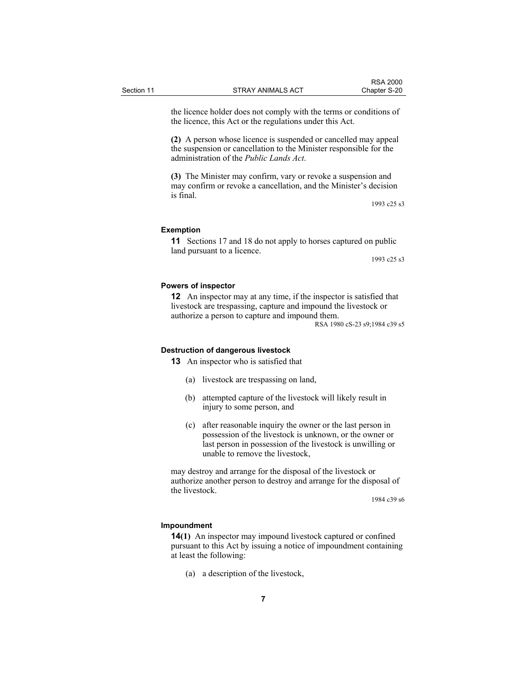the licence holder does not comply with the terms or conditions of the licence, this Act or the regulations under this Act.

**(2)** A person whose licence is suspended or cancelled may appeal the suspension or cancellation to the Minister responsible for the administration of the *Public Lands Act*.

**(3)** The Minister may confirm, vary or revoke a suspension and may confirm or revoke a cancellation, and the Minister's decision is final.

1993 c25 s3

#### **Exemption**

**11** Sections 17 and 18 do not apply to horses captured on public land pursuant to a licence.

1993 c25 s3

#### **Powers of inspector**

**12** An inspector may at any time, if the inspector is satisfied that livestock are trespassing, capture and impound the livestock or authorize a person to capture and impound them.

RSA 1980 cS-23 s9;1984 c39 s5

#### **Destruction of dangerous livestock**

**13** An inspector who is satisfied that

- (a) livestock are trespassing on land,
- (b) attempted capture of the livestock will likely result in injury to some person, and
- (c) after reasonable inquiry the owner or the last person in possession of the livestock is unknown, or the owner or last person in possession of the livestock is unwilling or unable to remove the livestock,

may destroy and arrange for the disposal of the livestock or authorize another person to destroy and arrange for the disposal of the livestock.

1984 c39 s6

#### **Impoundment**

**14(1)** An inspector may impound livestock captured or confined pursuant to this Act by issuing a notice of impoundment containing at least the following:

(a) a description of the livestock,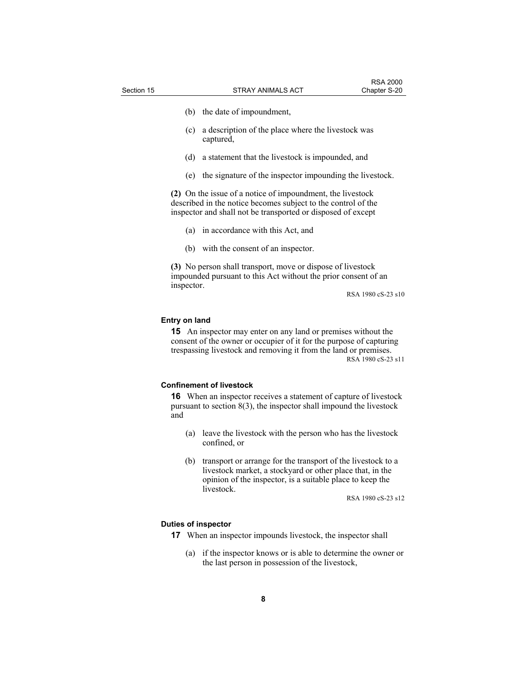- (b) the date of impoundment,
- (c) a description of the place where the livestock was captured,
- (d) a statement that the livestock is impounded, and
- (e) the signature of the inspector impounding the livestock.

**(2)** On the issue of a notice of impoundment, the livestock described in the notice becomes subject to the control of the inspector and shall not be transported or disposed of except

- (a) in accordance with this Act, and
- (b) with the consent of an inspector.

**(3)** No person shall transport, move or dispose of livestock impounded pursuant to this Act without the prior consent of an inspector.

RSA 1980 cS-23 s10

#### **Entry on land**

**15** An inspector may enter on any land or premises without the consent of the owner or occupier of it for the purpose of capturing trespassing livestock and removing it from the land or premises. RSA 1980 cS-23 s11

#### **Confinement of livestock**

**16** When an inspector receives a statement of capture of livestock pursuant to section 8(3), the inspector shall impound the livestock and

- (a) leave the livestock with the person who has the livestock confined, or
- (b) transport or arrange for the transport of the livestock to a livestock market, a stockyard or other place that, in the opinion of the inspector, is a suitable place to keep the livestock.

RSA 1980 cS-23 s12

#### **Duties of inspector**

- **17** When an inspector impounds livestock, the inspector shall
	- (a) if the inspector knows or is able to determine the owner or the last person in possession of the livestock,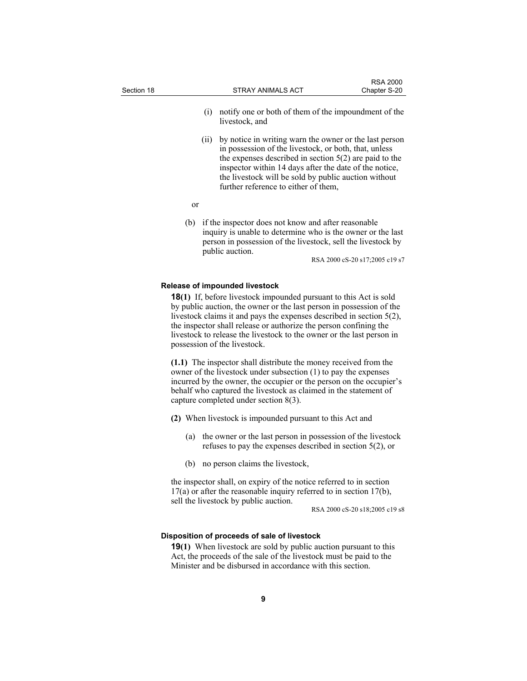| Section 18 |      | STRAY ANIMALS ACT                                                                                                                                                                                                                                                                                                                                                                                         | <b>RSA 2000</b><br>Chapter S-20 |
|------------|------|-----------------------------------------------------------------------------------------------------------------------------------------------------------------------------------------------------------------------------------------------------------------------------------------------------------------------------------------------------------------------------------------------------------|---------------------------------|
|            | (i)  | notify one or both of them of the impoundment of the<br>livestock, and                                                                                                                                                                                                                                                                                                                                    |                                 |
|            | (11) | by notice in writing warn the owner or the last person<br>in possession of the livestock, or both, that, unless<br>the expenses described in section $5(2)$ are paid to the<br>inspector within 14 days after the date of the notice,<br>the livestock will be sold by public auction without<br>further reference to either of them,                                                                     |                                 |
|            | or   |                                                                                                                                                                                                                                                                                                                                                                                                           |                                 |
|            | (b)  | if the inspector does not know and after reasonable<br>inquiry is unable to determine who is the owner or the last<br>person in possession of the livestock, sell the livestock by<br>public auction.                                                                                                                                                                                                     | RSA 2000 cS-20 s17;2005 c19 s7  |
|            |      | <b>Release of impounded livestock</b>                                                                                                                                                                                                                                                                                                                                                                     |                                 |
|            |      | <b>18(1)</b> If, before livestock impounded pursuant to this Act is sold<br>by public auction, the owner or the last person in possession of the<br>livestock claims it and pays the expenses described in section $5(2)$ ,<br>the inspector shall release or authorize the person confining the<br>livestock to release the livestock to the owner or the last person in<br>possession of the livestock. |                                 |
|            |      | (1.1) The inspector shall distribute the money received from the<br>owner of the livestock under subsection (1) to pay the expenses<br>incurred by the owner, the occupier or the person on the occupier's<br>behalf who captured the livestock as claimed in the statement of<br>capture completed under section 8(3).                                                                                   |                                 |
|            |      | (2) When livestock is impounded pursuant to this Act and                                                                                                                                                                                                                                                                                                                                                  |                                 |
|            | (a)  | the owner or the last person in possession of the livestock<br>refuses to pay the expenses described in section $5(2)$ , or                                                                                                                                                                                                                                                                               |                                 |
|            | (b)  | no person claims the livestock,                                                                                                                                                                                                                                                                                                                                                                           |                                 |
|            |      | the inspector shall, on expiry of the notice referred to in section<br>$17(a)$ or after the reasonable inquiry referred to in section $17(b)$ ,                                                                                                                                                                                                                                                           |                                 |

sell the livestock by public auction.

RSA 2000 cS-20 s18;2005 c19 s8

## **Disposition of proceeds of sale of livestock**

**19(1)** When livestock are sold by public auction pursuant to this Act, the proceeds of the sale of the livestock must be paid to the Minister and be disbursed in accordance with this section.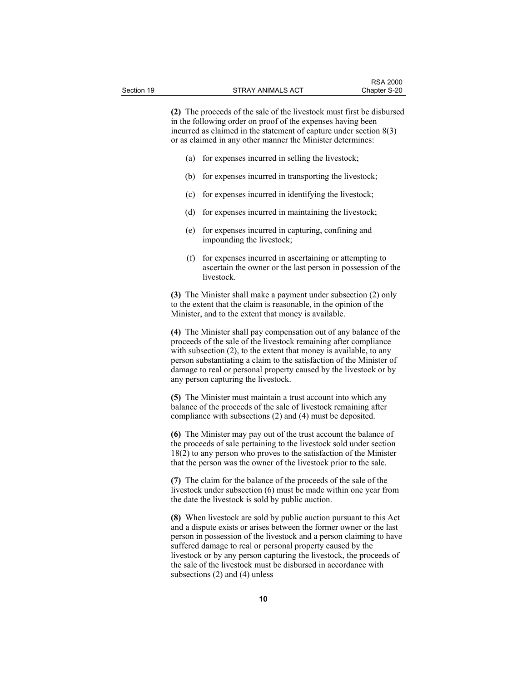**(2)** The proceeds of the sale of the livestock must first be disbursed in the following order on proof of the expenses having been incurred as claimed in the statement of capture under section 8(3) or as claimed in any other manner the Minister determines:

- (a) for expenses incurred in selling the livestock;
- (b) for expenses incurred in transporting the livestock;
- (c) for expenses incurred in identifying the livestock;
- (d) for expenses incurred in maintaining the livestock;
- (e) for expenses incurred in capturing, confining and impounding the livestock;
- (f) for expenses incurred in ascertaining or attempting to ascertain the owner or the last person in possession of the livestock.

**(3)** The Minister shall make a payment under subsection (2) only to the extent that the claim is reasonable, in the opinion of the Minister, and to the extent that money is available.

**(4)** The Minister shall pay compensation out of any balance of the proceeds of the sale of the livestock remaining after compliance with subsection (2), to the extent that money is available, to any person substantiating a claim to the satisfaction of the Minister of damage to real or personal property caused by the livestock or by any person capturing the livestock.

**(5)** The Minister must maintain a trust account into which any balance of the proceeds of the sale of livestock remaining after compliance with subsections (2) and (4) must be deposited.

**(6)** The Minister may pay out of the trust account the balance of the proceeds of sale pertaining to the livestock sold under section 18(2) to any person who proves to the satisfaction of the Minister that the person was the owner of the livestock prior to the sale.

**(7)** The claim for the balance of the proceeds of the sale of the livestock under subsection (6) must be made within one year from the date the livestock is sold by public auction.

**(8)** When livestock are sold by public auction pursuant to this Act and a dispute exists or arises between the former owner or the last person in possession of the livestock and a person claiming to have suffered damage to real or personal property caused by the livestock or by any person capturing the livestock, the proceeds of the sale of the livestock must be disbursed in accordance with subsections (2) and (4) unless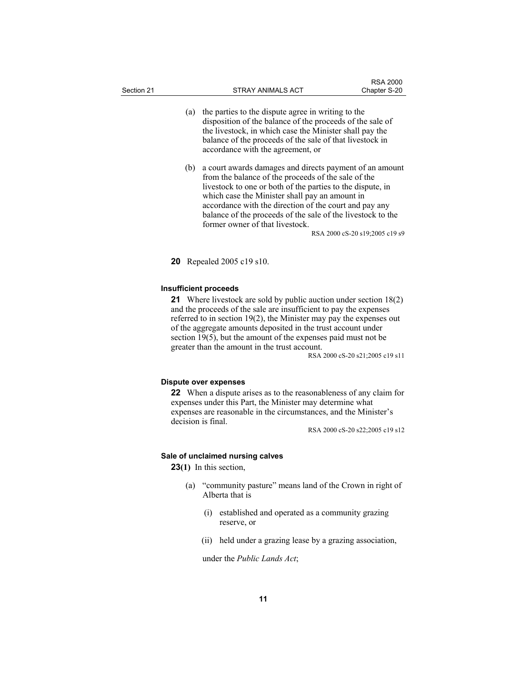- (a) the parties to the dispute agree in writing to the disposition of the balance of the proceeds of the sale of the livestock, in which case the Minister shall pay the balance of the proceeds of the sale of that livestock in accordance with the agreement, or
- (b) a court awards damages and directs payment of an amount from the balance of the proceeds of the sale of the livestock to one or both of the parties to the dispute, in which case the Minister shall pay an amount in accordance with the direction of the court and pay any balance of the proceeds of the sale of the livestock to the former owner of that livestock.

RSA 2000 cS-20 s19;2005 c19 s9

**20** Repealed 2005 c19 s10.

#### **Insufficient proceeds**

**21** Where livestock are sold by public auction under section 18(2) and the proceeds of the sale are insufficient to pay the expenses referred to in section 19(2), the Minister may pay the expenses out of the aggregate amounts deposited in the trust account under section 19(5), but the amount of the expenses paid must not be greater than the amount in the trust account.

RSA 2000 cS-20 s21;2005 c19 s11

#### **Dispute over expenses**

**22** When a dispute arises as to the reasonableness of any claim for expenses under this Part, the Minister may determine what expenses are reasonable in the circumstances, and the Minister's decision is final.

RSA 2000 cS-20 s22;2005 c19 s12

#### **Sale of unclaimed nursing calves**

**23(1)** In this section,

- (a) "community pasture" means land of the Crown in right of Alberta that is
	- (i) established and operated as a community grazing reserve, or
	- (ii) held under a grazing lease by a grazing association,

under the *Public Lands Act*;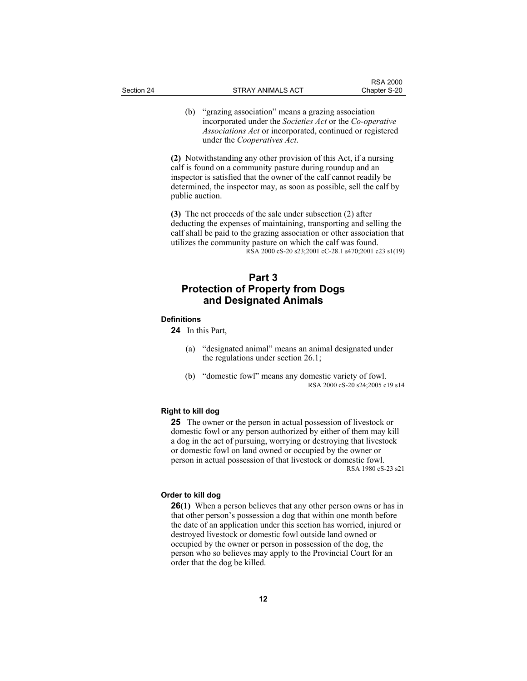(b) "grazing association" means a grazing association incorporated under the *Societies Act* or the *Co-operative Associations Act* or incorporated, continued or registered under the *Cooperatives Act*.

**(2)** Notwithstanding any other provision of this Act, if a nursing calf is found on a community pasture during roundup and an inspector is satisfied that the owner of the calf cannot readily be determined, the inspector may, as soon as possible, sell the calf by public auction.

**(3)** The net proceeds of the sale under subsection (2) after deducting the expenses of maintaining, transporting and selling the calf shall be paid to the grazing association or other association that utilizes the community pasture on which the calf was found. RSA 2000 cS-20 s23;2001 cC-28.1 s470;2001 c23 s1(19)

## **Part 3 Protection of Property from Dogs and Designated Animals**

#### **Definitions**

**24** In this Part,

- (a) "designated animal" means an animal designated under the regulations under section 26.1;
- (b) "domestic fowl" means any domestic variety of fowl. RSA 2000 cS-20 s24;2005 c19 s14

#### **Right to kill dog**

**25** The owner or the person in actual possession of livestock or domestic fowl or any person authorized by either of them may kill a dog in the act of pursuing, worrying or destroying that livestock or domestic fowl on land owned or occupied by the owner or person in actual possession of that livestock or domestic fowl. RSA 1980 cS-23 s21

#### **Order to kill dog**

**26(1)** When a person believes that any other person owns or has in that other person's possession a dog that within one month before the date of an application under this section has worried, injured or destroyed livestock or domestic fowl outside land owned or occupied by the owner or person in possession of the dog, the person who so believes may apply to the Provincial Court for an order that the dog be killed.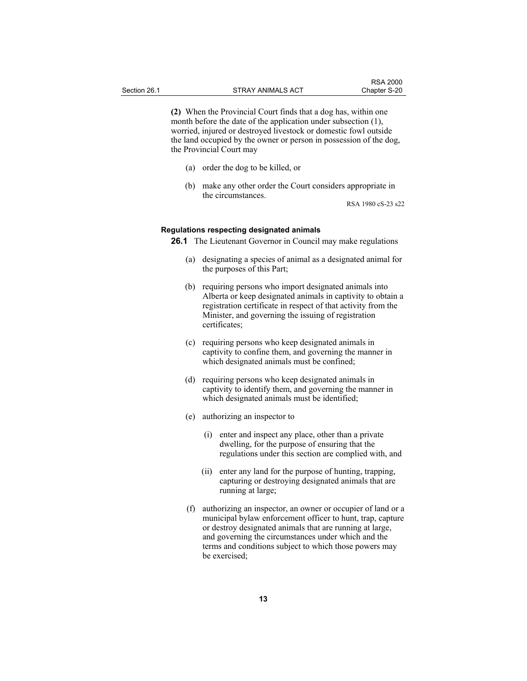**(2)** When the Provincial Court finds that a dog has, within one month before the date of the application under subsection (1), worried, injured or destroyed livestock or domestic fowl outside the land occupied by the owner or person in possession of the dog, the Provincial Court may

- (a) order the dog to be killed, or
- (b) make any other order the Court considers appropriate in the circumstances.

RSA 1980 cS-23 s22

#### **Regulations respecting designated animals**

**26.1** The Lieutenant Governor in Council may make regulations

- (a) designating a species of animal as a designated animal for the purposes of this Part;
- (b) requiring persons who import designated animals into Alberta or keep designated animals in captivity to obtain a registration certificate in respect of that activity from the Minister, and governing the issuing of registration certificates;
- (c) requiring persons who keep designated animals in captivity to confine them, and governing the manner in which designated animals must be confined;
- (d) requiring persons who keep designated animals in captivity to identify them, and governing the manner in which designated animals must be identified;
- (e) authorizing an inspector to
	- (i) enter and inspect any place, other than a private dwelling, for the purpose of ensuring that the regulations under this section are complied with, and
	- (ii) enter any land for the purpose of hunting, trapping, capturing or destroying designated animals that are running at large;
- (f) authorizing an inspector, an owner or occupier of land or a municipal bylaw enforcement officer to hunt, trap, capture or destroy designated animals that are running at large, and governing the circumstances under which and the terms and conditions subject to which those powers may be exercised;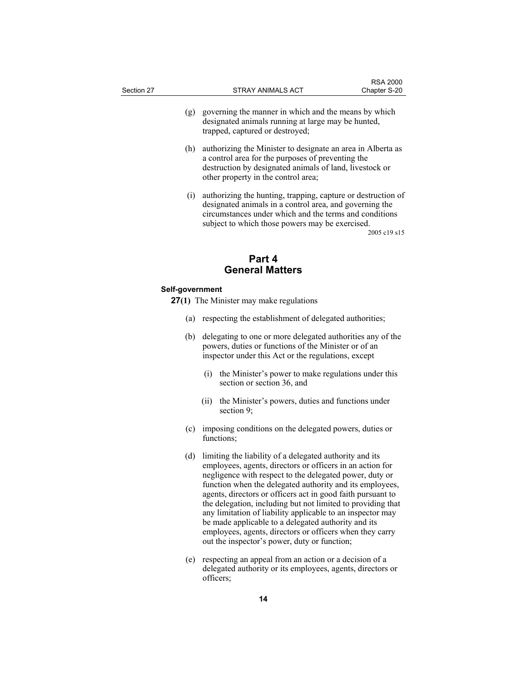- (g) governing the manner in which and the means by which designated animals running at large may be hunted, trapped, captured or destroyed;
- (h) authorizing the Minister to designate an area in Alberta as a control area for the purposes of preventing the destruction by designated animals of land, livestock or other property in the control area;
- (i) authorizing the hunting, trapping, capture or destruction of designated animals in a control area, and governing the circumstances under which and the terms and conditions subject to which those powers may be exercised.

2005 c19 s15

## **Part 4 General Matters**

#### **Self-government**

- **27(1)** The Minister may make regulations
	- (a) respecting the establishment of delegated authorities;
	- (b) delegating to one or more delegated authorities any of the powers, duties or functions of the Minister or of an inspector under this Act or the regulations, except
		- (i) the Minister's power to make regulations under this section or section 36, and
		- (ii) the Minister's powers, duties and functions under section 9;
	- (c) imposing conditions on the delegated powers, duties or functions;
	- (d) limiting the liability of a delegated authority and its employees, agents, directors or officers in an action for negligence with respect to the delegated power, duty or function when the delegated authority and its employees, agents, directors or officers act in good faith pursuant to the delegation, including but not limited to providing that any limitation of liability applicable to an inspector may be made applicable to a delegated authority and its employees, agents, directors or officers when they carry out the inspector's power, duty or function;
	- (e) respecting an appeal from an action or a decision of a delegated authority or its employees, agents, directors or officers;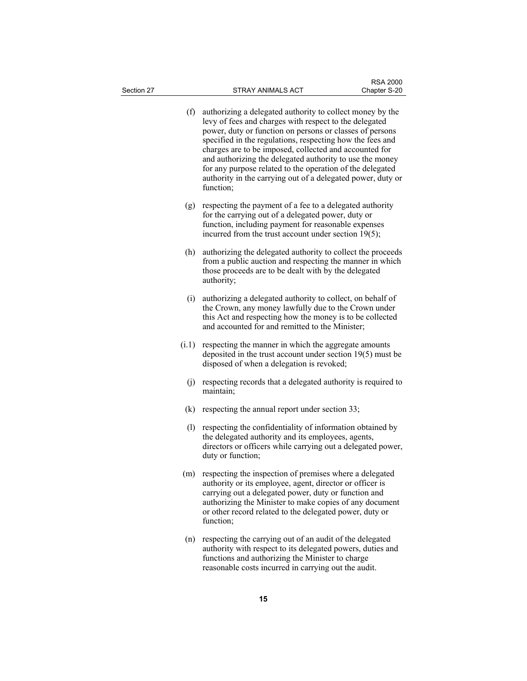| Section 27 | <b>STRAY ANIMALS ACT</b>                                                                                                                                                                                                                                                                                                                                                                                                                                                                                    | <b>RSA 2000</b><br>Chapter S-20 |
|------------|-------------------------------------------------------------------------------------------------------------------------------------------------------------------------------------------------------------------------------------------------------------------------------------------------------------------------------------------------------------------------------------------------------------------------------------------------------------------------------------------------------------|---------------------------------|
| (f)        | authorizing a delegated authority to collect money by the<br>levy of fees and charges with respect to the delegated<br>power, duty or function on persons or classes of persons<br>specified in the regulations, respecting how the fees and<br>charges are to be imposed, collected and accounted for<br>and authorizing the delegated authority to use the money<br>for any purpose related to the operation of the delegated<br>authority in the carrying out of a delegated power, duty or<br>function; |                                 |
| (g)        | respecting the payment of a fee to a delegated authority<br>for the carrying out of a delegated power, duty or<br>function, including payment for reasonable expenses<br>incurred from the trust account under section $19(5)$ ;                                                                                                                                                                                                                                                                            |                                 |
| (h)        | authorizing the delegated authority to collect the proceeds<br>from a public auction and respecting the manner in which<br>those proceeds are to be dealt with by the delegated<br>authority;                                                                                                                                                                                                                                                                                                               |                                 |
| (i)        | authorizing a delegated authority to collect, on behalf of<br>the Crown, any money lawfully due to the Crown under<br>this Act and respecting how the money is to be collected<br>and accounted for and remitted to the Minister;                                                                                                                                                                                                                                                                           |                                 |
| (i.1)      | respecting the manner in which the aggregate amounts<br>deposited in the trust account under section 19(5) must be<br>disposed of when a delegation is revoked;                                                                                                                                                                                                                                                                                                                                             |                                 |
| (j)        | respecting records that a delegated authority is required to<br>maintain;                                                                                                                                                                                                                                                                                                                                                                                                                                   |                                 |
| (k)        | respecting the annual report under section 33;                                                                                                                                                                                                                                                                                                                                                                                                                                                              |                                 |
| (1)        | respecting the confidentiality of information obtained by<br>the delegated authority and its employees, agents,<br>directors or officers while carrying out a delegated power,<br>duty or function;                                                                                                                                                                                                                                                                                                         |                                 |
|            | (m) respecting the inspection of premises where a delegated<br>authority or its employee, agent, director or officer is<br>carrying out a delegated power, duty or function and<br>authorizing the Minister to make copies of any document<br>or other record related to the delegated power, duty or<br>function;                                                                                                                                                                                          |                                 |
|            | (n) respecting the carrying out of an audit of the delegated<br>authority with respect to its delegated powers, duties and<br>functions and authorizing the Minister to charge<br>reasonable costs incurred in carrying out the audit.                                                                                                                                                                                                                                                                      |                                 |

**15**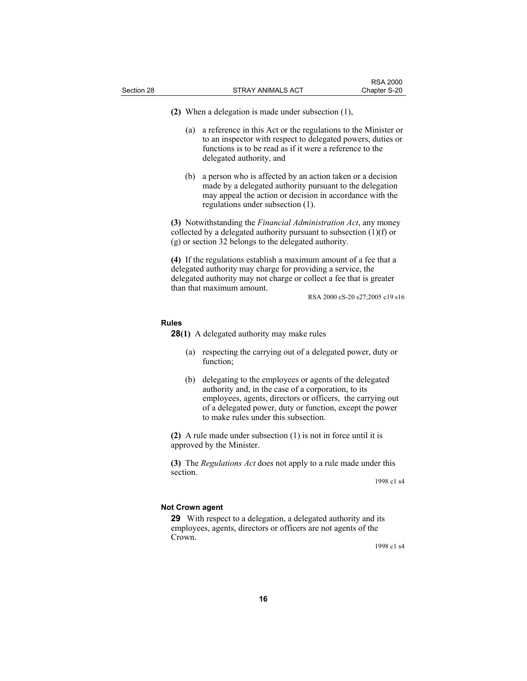**(2)** When a delegation is made under subsection (1),

- (a) a reference in this Act or the regulations to the Minister or to an inspector with respect to delegated powers, duties or functions is to be read as if it were a reference to the delegated authority, and
- (b) a person who is affected by an action taken or a decision made by a delegated authority pursuant to the delegation may appeal the action or decision in accordance with the regulations under subsection (1).

**(3)** Notwithstanding the *Financial Administration Act*, any money collected by a delegated authority pursuant to subsection  $(1)(f)$  or (g) or section 32 belongs to the delegated authority.

**(4)** If the regulations establish a maximum amount of a fee that a delegated authority may charge for providing a service, the delegated authority may not charge or collect a fee that is greater than that maximum amount.

RSA 2000 cS-20 s27;2005 c19 s16

#### **Rules**

**28(1)** A delegated authority may make rules

- (a) respecting the carrying out of a delegated power, duty or function;
- (b) delegating to the employees or agents of the delegated authority and, in the case of a corporation, to its employees, agents, directors or officers, the carrying out of a delegated power, duty or function, except the power to make rules under this subsection.

**(2)** A rule made under subsection (1) is not in force until it is approved by the Minister.

**(3)** The *Regulations Act* does not apply to a rule made under this section.

1998 c1 s4

#### **Not Crown agent**

**29** With respect to a delegation, a delegated authority and its employees, agents, directors or officers are not agents of the Crown.

1998 c1 s4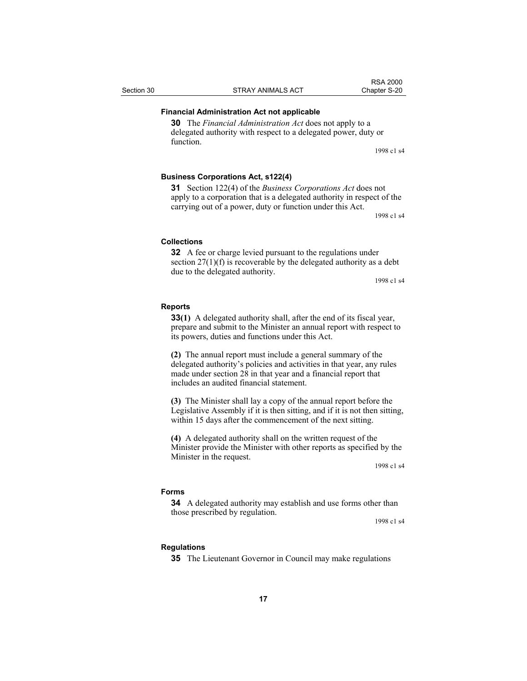#### **Financial Administration Act not applicable**

**30** The *Financial Administration Act* does not apply to a delegated authority with respect to a delegated power, duty or function.

1998 c1 s4

#### **Business Corporations Act, s122(4)**

**31** Section 122(4) of the *Business Corporations Act* does not apply to a corporation that is a delegated authority in respect of the carrying out of a power, duty or function under this Act.

1998 c1 s4

#### **Collections**

**32** A fee or charge levied pursuant to the regulations under section 27(1)(f) is recoverable by the delegated authority as a debt due to the delegated authority.

1998 c1 s4

#### **Reports**

**33(1)** A delegated authority shall, after the end of its fiscal year, prepare and submit to the Minister an annual report with respect to its powers, duties and functions under this Act.

**(2)** The annual report must include a general summary of the delegated authority's policies and activities in that year, any rules made under section 28 in that year and a financial report that includes an audited financial statement.

**(3)** The Minister shall lay a copy of the annual report before the Legislative Assembly if it is then sitting, and if it is not then sitting, within 15 days after the commencement of the next sitting.

**(4)** A delegated authority shall on the written request of the Minister provide the Minister with other reports as specified by the Minister in the request.

1998 c1 s4

#### **Forms**

**34** A delegated authority may establish and use forms other than those prescribed by regulation.

1998 c1 s4

#### **Regulations**

**35** The Lieutenant Governor in Council may make regulations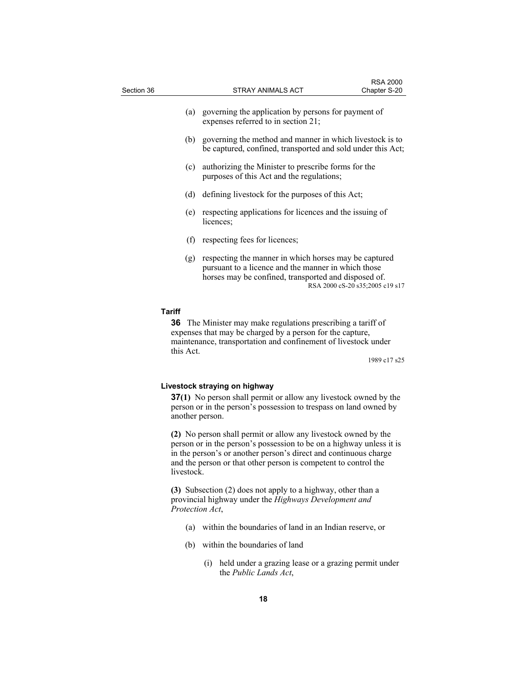| Section 36    |     | STRAY ANIMALS ACT                                                                                                                                                    | <b>RSA 2000</b><br>Chapter S-20 |
|---------------|-----|----------------------------------------------------------------------------------------------------------------------------------------------------------------------|---------------------------------|
|               | (a) | governing the application by persons for payment of<br>expenses referred to in section 21;                                                                           |                                 |
|               | (b) | governing the method and manner in which livestock is to<br>be captured, confined, transported and sold under this Act;                                              |                                 |
|               | (c) | authorizing the Minister to prescribe forms for the<br>purposes of this Act and the regulations;                                                                     |                                 |
|               | (d) | defining livestock for the purposes of this Act;                                                                                                                     |                                 |
|               | (e) | respecting applications for licences and the issuing of<br>licences;                                                                                                 |                                 |
|               | (f) | respecting fees for licences;                                                                                                                                        |                                 |
|               | (g) | respecting the manner in which horses may be captured<br>pursuant to a licence and the manner in which those<br>horses may be confined, transported and disposed of. | RSA 2000 cS-20 s35;2005 c19 s17 |
| <b>Tariff</b> |     |                                                                                                                                                                      |                                 |

**36** The Minister may make regulations prescribing a tariff of expenses that may be charged by a person for the capture, maintenance, transportation and confinement of livestock under this Act.

1989 c17 s25

#### **Livestock straying on highway**

**37(1)** No person shall permit or allow any livestock owned by the person or in the person's possession to trespass on land owned by another person.

**(2)** No person shall permit or allow any livestock owned by the person or in the person's possession to be on a highway unless it is in the person's or another person's direct and continuous charge and the person or that other person is competent to control the livestock.

**(3)** Subsection (2) does not apply to a highway, other than a provincial highway under the *Highways Development and Protection Act*,

- (a) within the boundaries of land in an Indian reserve, or
- (b) within the boundaries of land
	- (i) held under a grazing lease or a grazing permit under the *Public Lands Act*,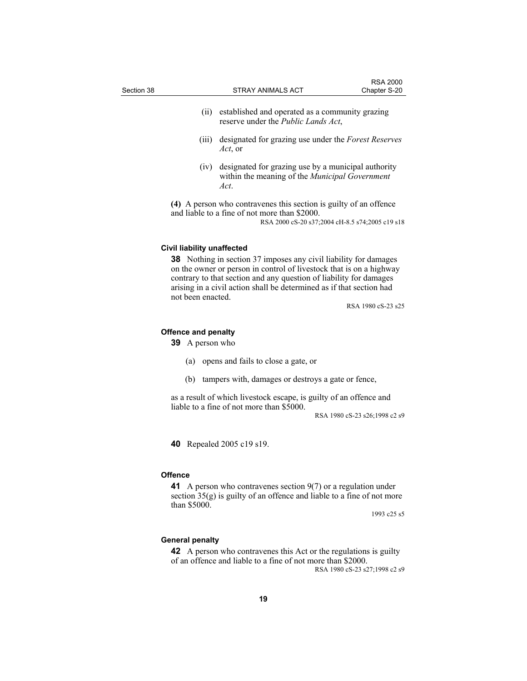| Section 38 |                                                        | <b>STRAY ANIMALS ACT</b>                                                                                                                                                                                                                                                                     | <b>RSA 2000</b><br>Chapter S-20 |
|------------|--------------------------------------------------------|----------------------------------------------------------------------------------------------------------------------------------------------------------------------------------------------------------------------------------------------------------------------------------------------|---------------------------------|
|            | (ii)                                                   | established and operated as a community grazing<br>reserve under the <i>Public Lands Act</i> ,                                                                                                                                                                                               |                                 |
|            | (111)                                                  | designated for grazing use under the Forest Reserves<br>Act, or                                                                                                                                                                                                                              |                                 |
|            | (iv)                                                   | designated for grazing use by a municipal authority<br>within the meaning of the <i>Municipal Government</i><br>Act.                                                                                                                                                                         |                                 |
|            |                                                        | (4) A person who contravenes this section is guilty of an offence<br>and liable to a fine of not more than \$2000.<br>RSA 2000 cS-20 s37;2004 cH-8.5 s74;2005 c19 s18                                                                                                                        |                                 |
|            | <b>Civil liability unaffected</b><br>not been enacted. | <b>38</b> Nothing in section 37 imposes any civil liability for damages<br>on the owner or person in control of livestock that is on a highway<br>contrary to that section and any question of liability for damages<br>arising in a civil action shall be determined as if that section had |                                 |
|            |                                                        |                                                                                                                                                                                                                                                                                              | RSA 1980 cS-23 s25              |

#### **Offence and penalty**

**39** A person who

- (a) opens and fails to close a gate, or
- (b) tampers with, damages or destroys a gate or fence,

as a result of which livestock escape, is guilty of an offence and liable to a fine of not more than \$5000.

RSA 1980 cS-23 s26;1998 c2 s9

**40** Repealed 2005 c19 s19.

#### **Offence**

**41** A person who contravenes section 9(7) or a regulation under section 35(g) is guilty of an offence and liable to a fine of not more than \$5000.

1993 c25 s5

#### **General penalty**

**42** A person who contravenes this Act or the regulations is guilty of an offence and liable to a fine of not more than \$2000. RSA 1980 cS-23 s27;1998 c2 s9